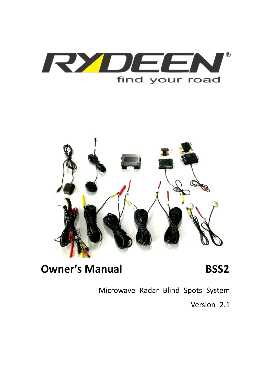



**Owner's Manual BSS2** 

Microwave Radar Blind Spots System

Version 2.1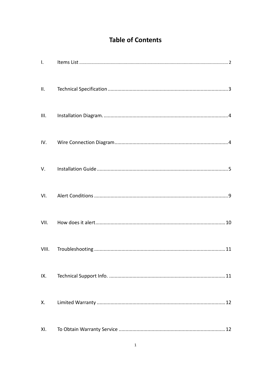# **Table of Contents**

| $\mathsf{L}$ |  |
|--------------|--|
| II.          |  |
| III.         |  |
| IV.          |  |
| V.           |  |
| VI.          |  |
| VII.         |  |
| VIII.        |  |
| IX.          |  |
| Χ.           |  |
| XI.          |  |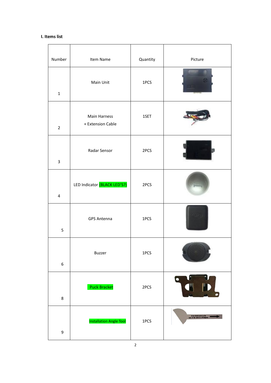### **I. Items list**

| Number<br>Item Name |                         | Quantity                          | Picture |           |
|---------------------|-------------------------|-----------------------------------|---------|-----------|
|                     | $\mathbf 1$             | Main Unit                         | 1PCS    |           |
|                     | $\overline{2}$          | Main Harness<br>+ Extension Cable | 1SET    |           |
|                     | 3                       | Radar Sensor                      | 2PCS    |           |
|                     | $\overline{\mathbf{4}}$ | LED Indicator (BLACK LED'S?)      | 2PCS    |           |
|                     | 5                       | <b>GPS Antenna</b>                | 1PCS    |           |
|                     | $\boldsymbol{6}$        | Buzzer                            | 1PCS    |           |
|                     | 8                       | <b>Puck Bracket</b>               | 2PCS    | $\bullet$ |
|                     | 9                       | <b>Installation Angle Tool</b>    | 1PCS    |           |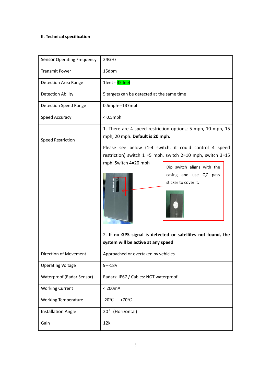### **II. Technical specification**

| <b>Sensor Operating Frequency</b> | 24GHz                                                                                                                                                                                                                                                                                                                                                                                                                                       |  |  |
|-----------------------------------|---------------------------------------------------------------------------------------------------------------------------------------------------------------------------------------------------------------------------------------------------------------------------------------------------------------------------------------------------------------------------------------------------------------------------------------------|--|--|
| <b>Transmit Power</b>             | 15dbm                                                                                                                                                                                                                                                                                                                                                                                                                                       |  |  |
| Detection Area Range              | 1feet - 35 feet                                                                                                                                                                                                                                                                                                                                                                                                                             |  |  |
| <b>Detection Ability</b>          | 5 targets can be detected at the same time                                                                                                                                                                                                                                                                                                                                                                                                  |  |  |
| <b>Detection Speed Range</b>      | 0.5mph---137mph                                                                                                                                                                                                                                                                                                                                                                                                                             |  |  |
| Speed Accuracy                    | $< 0.5$ mph                                                                                                                                                                                                                                                                                                                                                                                                                                 |  |  |
| <b>Speed Restriction</b>          | 1. There are 4 speed restriction options; 5 mph, 10 mph, 15<br>mph, 20 mph. Default is 20 mph.<br>Please see below (1-4 switch, it could control 4 speed<br>restriction) switch $1 = 5$ mph, switch $2=10$ mph, switch $3=15$<br>mph, Switch 4=20 mph<br>Dip switch aligns with the<br>casing and use QC pass<br>sticker to cover it.<br>2. If no GPS signal is detected or satellites not found, the<br>system will be active at any speed |  |  |
| Direction of Movement             | Approached or overtaken by vehicles                                                                                                                                                                                                                                                                                                                                                                                                         |  |  |
| <b>Operating Voltage</b>          | $9--18V$                                                                                                                                                                                                                                                                                                                                                                                                                                    |  |  |
| Waterproof (Radar Sensor)         | Radars: IP67 / Cables: NOT waterproof                                                                                                                                                                                                                                                                                                                                                                                                       |  |  |
| <b>Working Current</b>            | $200mA$                                                                                                                                                                                                                                                                                                                                                                                                                                     |  |  |
| <b>Working Temperature</b>        | $-20^{\circ}$ C --- +70 $^{\circ}$ C                                                                                                                                                                                                                                                                                                                                                                                                        |  |  |
| <b>Installation Angle</b>         | (Horizontal)<br>$20^{\circ}$                                                                                                                                                                                                                                                                                                                                                                                                                |  |  |
| Gain                              | 12k                                                                                                                                                                                                                                                                                                                                                                                                                                         |  |  |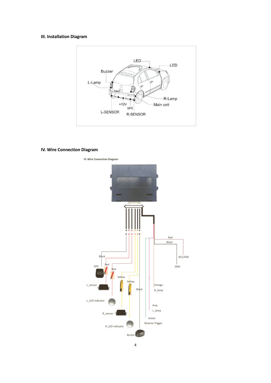### **III. Installation Diagram**



### **IV. Wire Connection Diagram**

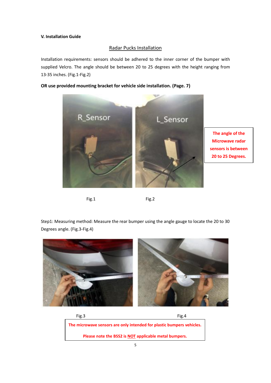### **V. Installation Guide**

### Radar Pucks Installation

Installation requirements: sensors should be adhered to the inner corner of the bumper with supplied Velcro. The angle should be between 20 to 25 degrees with the height ranging from 13-35 inches. (Fig.1-Fig.2)

### **OR use provided mounting bracket for vehicle side installation. (Page. 7)**



```
Fig.1 Fig.2
```
Step1: Measuring method: Measure the rear bumper using the angle gauge to locate the 20 to 30 Degrees angle. (Fig.3-Fig.4)



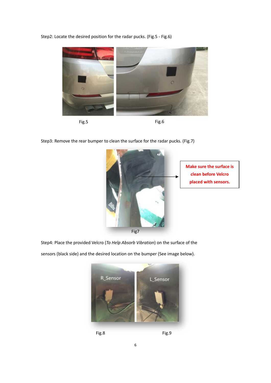Step2: Locate the desired position for the radar pucks. (Fig.5 - Fig.6)





Step3: Remove the rear bumper to clean the surface for the radar pucks. (Fig.7)



Step4: Place the provided Velcro (*To Help Absorb Vibration*) on the surface of the

sensors (black side) and the desired location on the bumper (See image below).



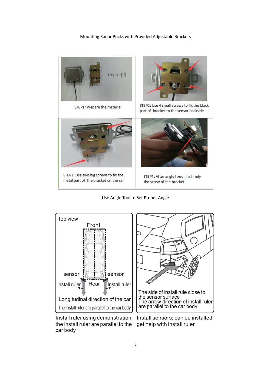### Mounting Radar Pucks with Provided Adjustable Brackets



STEP1: Prepare the material



STEP2: Use 4 small screws to fix the black part of bracket to the sensor backside



STEP3: Use two big screws to fix the metal part of the bracket on the car



STEP4: After angle fixed, fix firmly the screw of the bracket

#### Use Angle Tool to Set Proper Angle



Install ruler using demonstration: Install sensors: can be installed the install ruler are parallel to the get help with install ruler car body

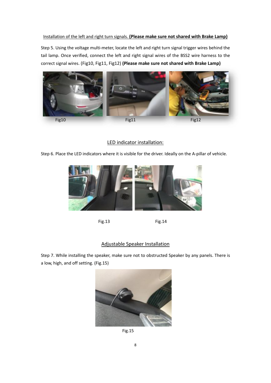### Installation of the left and right turn signals. **(Please make sure not shared with Brake Lamp)**

Step 5. Using the voltage multi-meter, locate the left and right turn signal trigger wires behind the tail lamp. Once verified, connect the left and right signal wires of the BSS2 wire harness to the correct signal wires. (Fig10, Fig11, Fig12) **(Please make sure not shared with Brake Lamp)**



### LED indicator installation:

Step 6. Place the LED indicators where it is visible for the driver. Ideally on the A-pillar of vehicle.



Fig.13 Fig.14

### Adjustable Speaker Installation

Step 7. While installing the speaker, make sure not to obstructed Speaker by any panels. There is a low, high, and off setting. (Fig.15)



Fig.15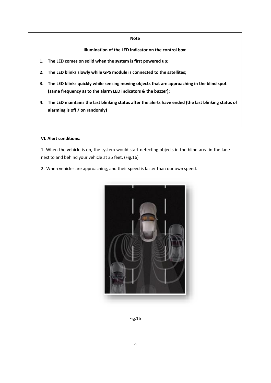#### **Note**

### **Illumination of the LED indicator on the control box:**

- **1. The LED comes on solid when the system is first powered up;**
- **2. The LED blinks slowly while GPS module is connected to the satellites;**
- **3. The LED blinks quickly while sensing moving objects that are approaching in the blind spot (same frequency as to the alarm LED indicators & the buzzer);**
- **4. The LED maintains the last blinking status after the alerts have ended (the last blinking status of alarming is off / on randomly)**

### **VI. Alert conditions:**

1. When the vehicle is on, the system would start detecting objects in the blind area in the lane next to and behind your vehicle at 35 feet. (Fig.16)

2. When vehicles are approaching, and their speed is faster than our own speed.



Fig.16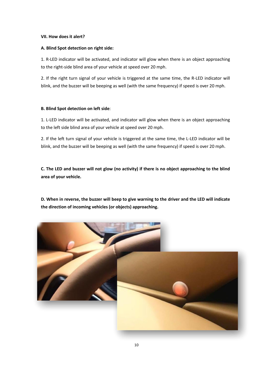### **VII. How does it alert?**

### **A. Blind Spot detection on right side:**

1. R-LED indicator will be activated, and indicator will glow when there is an object approaching to the right-side blind area of your vehicle at speed over 20 mph.

2. If the right turn signal of your vehicle is triggered at the same time, the R-LED indicator will blink, and the buzzer will be beeping as well (with the same frequency) if speed is over 20 mph.

#### **B. Blind Spot detection on left side**:

1. L-LED indicator will be activated, and indicator will glow when there is an object approaching to the left side blind area of your vehicle at speed over 20 mph.

2. If the left turn signal of your vehicle is triggered at the same time, the L-LED indicator will be blink, and the buzzer will be beeping as well (with the same frequency) if speed is over 20 mph.

**C. The LED and buzzer will not glow (no activity) if there is no object approaching to the blind area of your vehicle.**

**D. When in reverse, the buzzer will beep to give warning to the driver and the LED will indicate the direction of incoming vehicles (or objects) approaching.** 

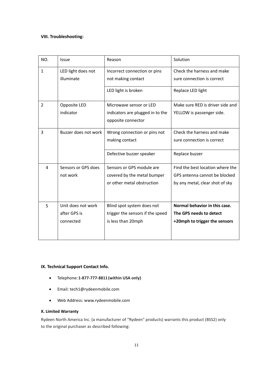### **VIII. Troubleshooting:**

| NO.            | Issue                                           | Reason                                                                                 | Solution                                                                                             |
|----------------|-------------------------------------------------|----------------------------------------------------------------------------------------|------------------------------------------------------------------------------------------------------|
| $\mathbf{1}$   | LED light does not<br>illuminate                | Incorrect connection or pins<br>not making contact<br>LED light is broken              | Check the harness and make<br>sure connection is correct<br>Replace LED light                        |
| $\overline{2}$ | Opposite LED<br>indicator                       | Microwave sensor or LED<br>indicators are plugged in to the<br>opposite connector      | Make sure RFD is driver side and<br>YELLOW is passenger side.                                        |
| 3              | Buzzer does not work                            | Wrong connection or pins not<br>making contact<br>Defective buzzer speaker             | Check the harness and make<br>sure connection is correct<br>Replace buzzer                           |
| 4              | Sensors or GPS does<br>not work                 | Sensors or GPS module are<br>covered by the metal bumper<br>or other metal obstruction | Find the best location where the<br>GPS antenna cannot be blocked<br>by any metal, clear shot of sky |
| 5              | Unit does not work<br>after GPS is<br>connected | Blind spot system does not<br>trigger the sensors if the speed<br>is less than 20mph   | Normal behavior in this case.<br>The GPS needs to detect<br>+20mph to trigger the sensors            |

### **IX. Technical Support Contact Info.**

- Telephone:**1-877-777-8811(within USA only)**
- Email: tech1@rydeenmobile.com
- Web Address: [www.rydeenmobile.com](http://www.rydeenmobile.com/)

### **X. Limited Warranty**

Rydeen North America Inc. (a manufacturer of "Rydeen" products) warrants this product (BSS2) only to the original purchaser as described following: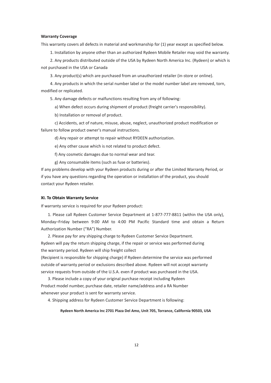#### **Warranty Coverage**

This warranty covers all defects in material and workmanship for (1) year except as specified below.

1. Installation by anyone other than an authorized Rydeen Mobile Retailer may void the warranty.

 2. Any products distributed outside of the USA by Rydeen North America Inc. (Rydeen) or which is not purchased in the USA or Canada

3. Any product(s) which are purchased from an unauthorized retailer (in-store or online).

 4. Any products in which the serial number label or the model number label are removed, torn, modified or replicated.

5. Any damage defects or malfunctions resulting from any of following:

a) When defect occurs during shipment of product (freight carrier's responsibility).

b) Installation or removal of product.

 c) Accidents, act of nature, misuse, abuse, neglect, unauthorized product modification or failure to follow product owner's manual instructions.

d) Any repair or attempt to repair without RYDEEN authorization.

e) Any other cause which is not related to product defect.

f) Any cosmetic damages due to normal wear and tear.

g) Any consumable items (such as fuse or batteries).

If any problems develop with your Rydeen products during or after the Limited Warranty Period, or if you have any questions regarding the operation or installation of the product, you should contact your Rydeen retailer.

#### **XI. To Obtain Warranty Service**

If warranty service is required for your Rydeen product:

 1. Please call Rydeen Customer Service Department at 1-877-777-8811 (within the USA only), Monday–Friday between 9:00 AM to 4:00 PM Pacific Standard time and obtain a Return Authorization Number ("RA") Number.

2. Please pay for any shipping charge to Rydeen Customer Service Department.

Rydeen will pay the return shipping charge, if the repair or service was performed during the warranty period. Rydeen will ship freight collect

(Recipient is responsible for shipping charge) if Rydeen determine the service was performed outside of warranty period or exclusions described above. Rydeen will not accept warranty service requests from outside of the U.S.A. even if product was purchased in the USA.

 3. Please include a copy of your original purchase receipt including Rydeen Product model number, purchase date, retailer name/address and a RA Number whenever your product is sent for warranty service.

4. Shipping address for Rydeen Customer Service Department is following:

**Rydeen North America Inc 2701 Plaza Del Amo, Unit 705, Torrance, California 90503, USA**